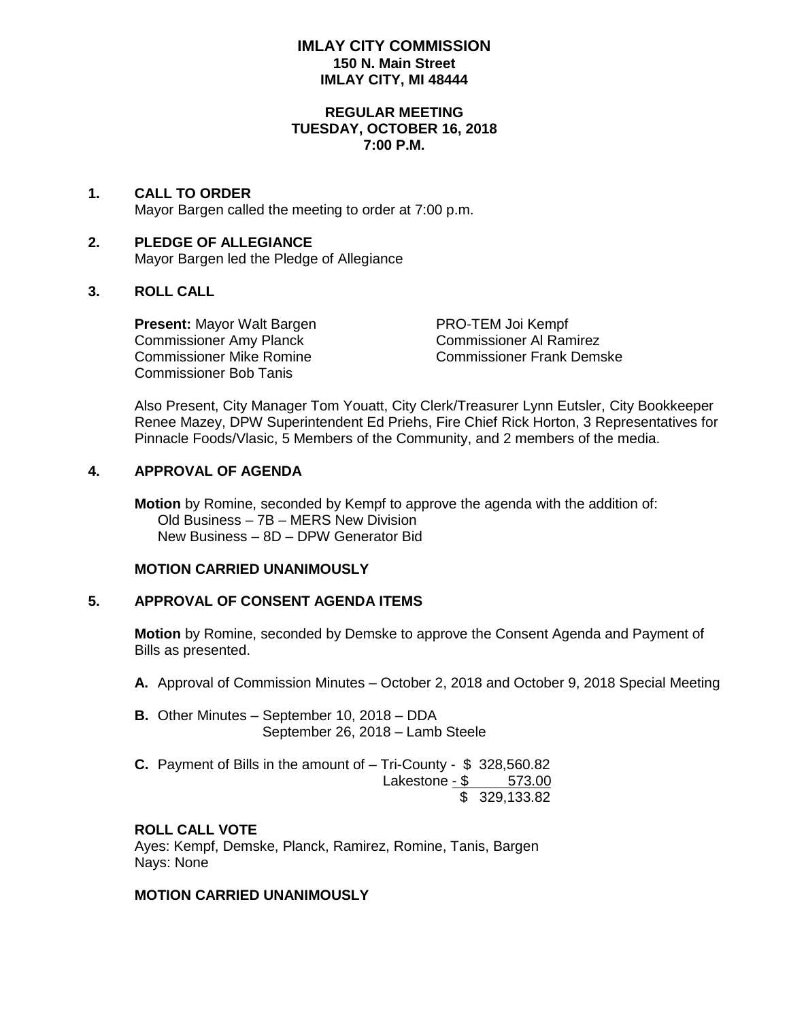### **IMLAY CITY COMMISSION 150 N. Main Street IMLAY CITY, MI 48444**

#### **REGULAR MEETING TUESDAY, OCTOBER 16, 2018 7:00 P.M.**

# **1. CALL TO ORDER**

Mayor Bargen called the meeting to order at 7:00 p.m.

## **2. PLEDGE OF ALLEGIANCE** Mayor Bargen led the Pledge of Allegiance

## **3. ROLL CALL**

**Present:** Mayor Walt Bargen PRO-TEM Joi Kempf Commissioner Amy Planck Commissioner Al Ramirez Commissioner Bob Tanis

Commissioner Mike Romine Commissioner Frank Demske

Also Present, City Manager Tom Youatt, City Clerk/Treasurer Lynn Eutsler, City Bookkeeper Renee Mazey, DPW Superintendent Ed Priehs, Fire Chief Rick Horton, 3 Representatives for Pinnacle Foods/Vlasic, 5 Members of the Community, and 2 members of the media.

### **4. APPROVAL OF AGENDA**

**Motion** by Romine, seconded by Kempf to approve the agenda with the addition of: Old Business – 7B – MERS New Division New Business – 8D – DPW Generator Bid

## **MOTION CARRIED UNANIMOUSLY**

#### **5. APPROVAL OF CONSENT AGENDA ITEMS**

**Motion** by Romine, seconded by Demske to approve the Consent Agenda and Payment of Bills as presented.

- **A.** Approval of Commission Minutes October 2, 2018 and October 9, 2018 Special Meeting
- **B.** Other Minutes September 10, 2018 DDA September 26, 2018 – Lamb Steele
- **C.** Payment of Bills in the amount of Tri-County \$ 328,560.82 Lakestone - \$ 573.00 \$ 329,133.82

## **ROLL CALL VOTE**

Ayes: Kempf, Demske, Planck, Ramirez, Romine, Tanis, Bargen Nays: None

### **MOTION CARRIED UNANIMOUSLY**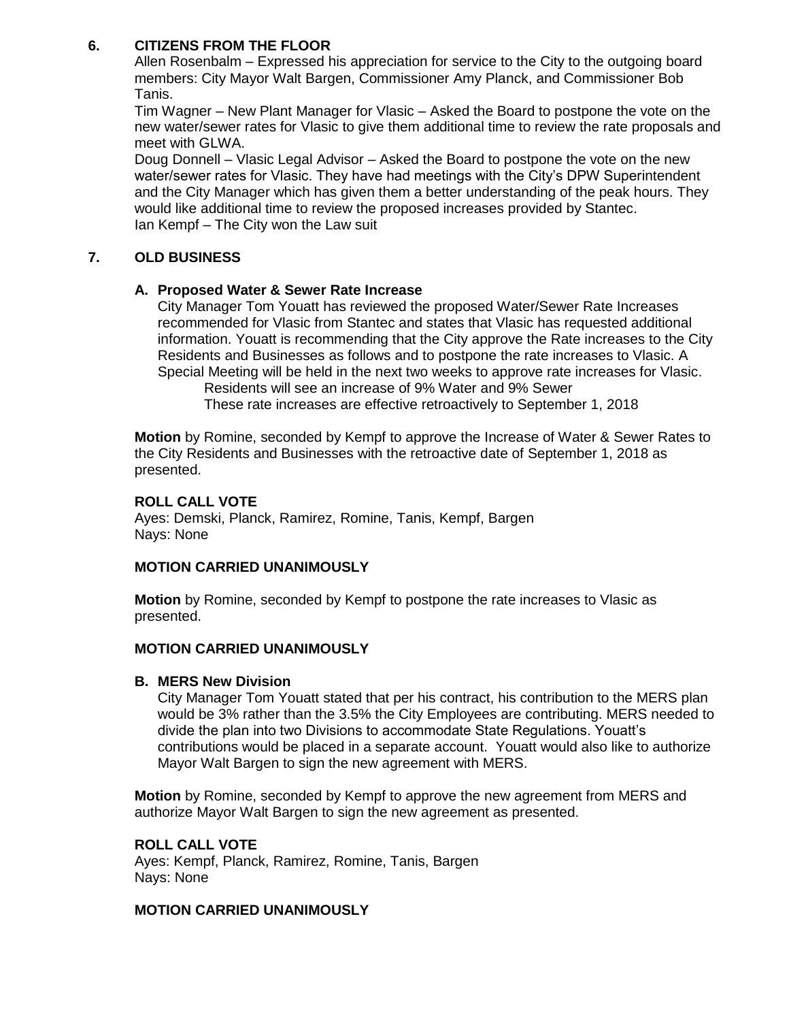# **6. CITIZENS FROM THE FLOOR**

Allen Rosenbalm – Expressed his appreciation for service to the City to the outgoing board members: City Mayor Walt Bargen, Commissioner Amy Planck, and Commissioner Bob Tanis.

Tim Wagner – New Plant Manager for Vlasic – Asked the Board to postpone the vote on the new water/sewer rates for Vlasic to give them additional time to review the rate proposals and meet with GLWA.

Doug Donnell – Vlasic Legal Advisor – Asked the Board to postpone the vote on the new water/sewer rates for Vlasic. They have had meetings with the City's DPW Superintendent and the City Manager which has given them a better understanding of the peak hours. They would like additional time to review the proposed increases provided by Stantec. Ian Kempf – The City won the Law suit

# **7. OLD BUSINESS**

## **A. Proposed Water & Sewer Rate Increase**

City Manager Tom Youatt has reviewed the proposed Water/Sewer Rate Increases recommended for Vlasic from Stantec and states that Vlasic has requested additional information. Youatt is recommending that the City approve the Rate increases to the City Residents and Businesses as follows and to postpone the rate increases to Vlasic. A Special Meeting will be held in the next two weeks to approve rate increases for Vlasic.

Residents will see an increase of 9% Water and 9% Sewer These rate increases are effective retroactively to September 1, 2018

**Motion** by Romine, seconded by Kempf to approve the Increase of Water & Sewer Rates to the City Residents and Businesses with the retroactive date of September 1, 2018 as presented.

### **ROLL CALL VOTE**

Ayes: Demski, Planck, Ramirez, Romine, Tanis, Kempf, Bargen Nays: None

## **MOTION CARRIED UNANIMOUSLY**

**Motion** by Romine, seconded by Kempf to postpone the rate increases to Vlasic as presented.

## **MOTION CARRIED UNANIMOUSLY**

#### **B. MERS New Division**

City Manager Tom Youatt stated that per his contract, his contribution to the MERS plan would be 3% rather than the 3.5% the City Employees are contributing. MERS needed to divide the plan into two Divisions to accommodate State Regulations. Youatt's contributions would be placed in a separate account. Youatt would also like to authorize Mayor Walt Bargen to sign the new agreement with MERS.

**Motion** by Romine, seconded by Kempf to approve the new agreement from MERS and authorize Mayor Walt Bargen to sign the new agreement as presented.

### **ROLL CALL VOTE**

Ayes: Kempf, Planck, Ramirez, Romine, Tanis, Bargen Nays: None

#### **MOTION CARRIED UNANIMOUSLY**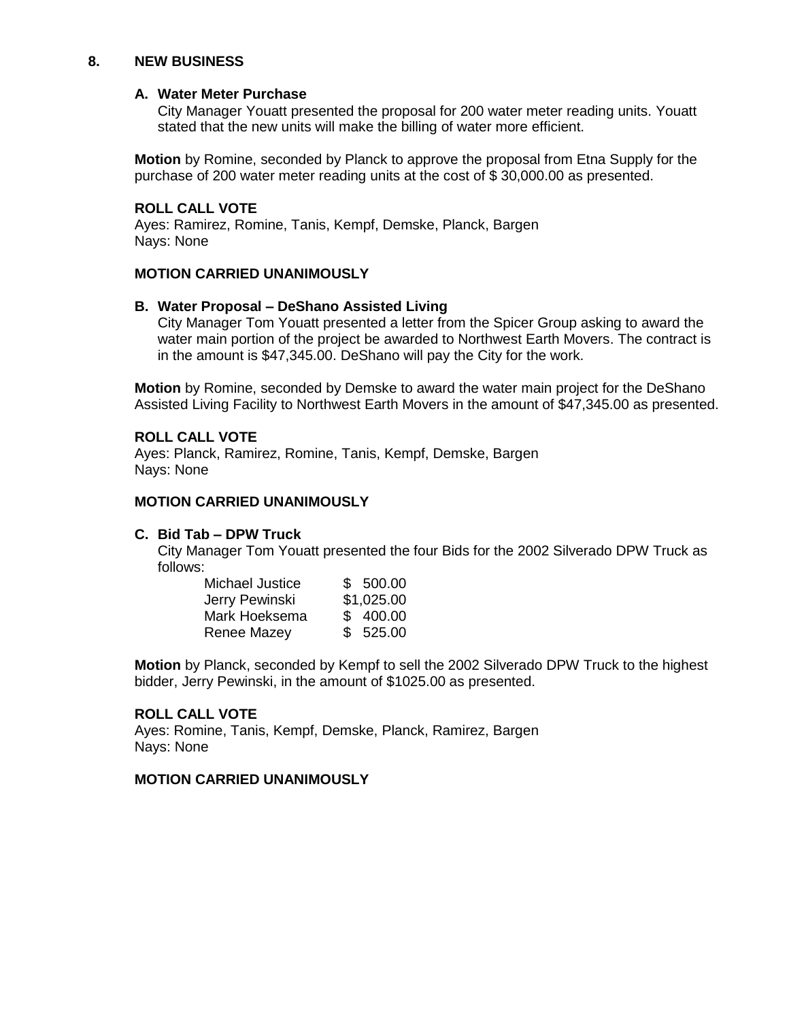#### **8. NEW BUSINESS**

#### **A. Water Meter Purchase**

City Manager Youatt presented the proposal for 200 water meter reading units. Youatt stated that the new units will make the billing of water more efficient.

**Motion** by Romine, seconded by Planck to approve the proposal from Etna Supply for the purchase of 200 water meter reading units at the cost of \$ 30,000.00 as presented.

#### **ROLL CALL VOTE**

Ayes: Ramirez, Romine, Tanis, Kempf, Demske, Planck, Bargen Nays: None

#### **MOTION CARRIED UNANIMOUSLY**

#### **B. Water Proposal – DeShano Assisted Living**

City Manager Tom Youatt presented a letter from the Spicer Group asking to award the water main portion of the project be awarded to Northwest Earth Movers. The contract is in the amount is \$47,345.00. DeShano will pay the City for the work.

**Motion** by Romine, seconded by Demske to award the water main project for the DeShano Assisted Living Facility to Northwest Earth Movers in the amount of \$47,345.00 as presented.

#### **ROLL CALL VOTE**

Ayes: Planck, Ramirez, Romine, Tanis, Kempf, Demske, Bargen Nays: None

#### **MOTION CARRIED UNANIMOUSLY**

#### **C. Bid Tab – DPW Truck**

City Manager Tom Youatt presented the four Bids for the 2002 Silverado DPW Truck as follows:

| Michael Justice | \$500.00   |
|-----------------|------------|
| Jerry Pewinski  | \$1,025.00 |
| Mark Hoeksema   | \$400.00   |
| Renee Mazey     | \$525.00   |

**Motion** by Planck, seconded by Kempf to sell the 2002 Silverado DPW Truck to the highest bidder, Jerry Pewinski, in the amount of \$1025.00 as presented.

#### **ROLL CALL VOTE**

Ayes: Romine, Tanis, Kempf, Demske, Planck, Ramirez, Bargen Nays: None

#### **MOTION CARRIED UNANIMOUSLY**